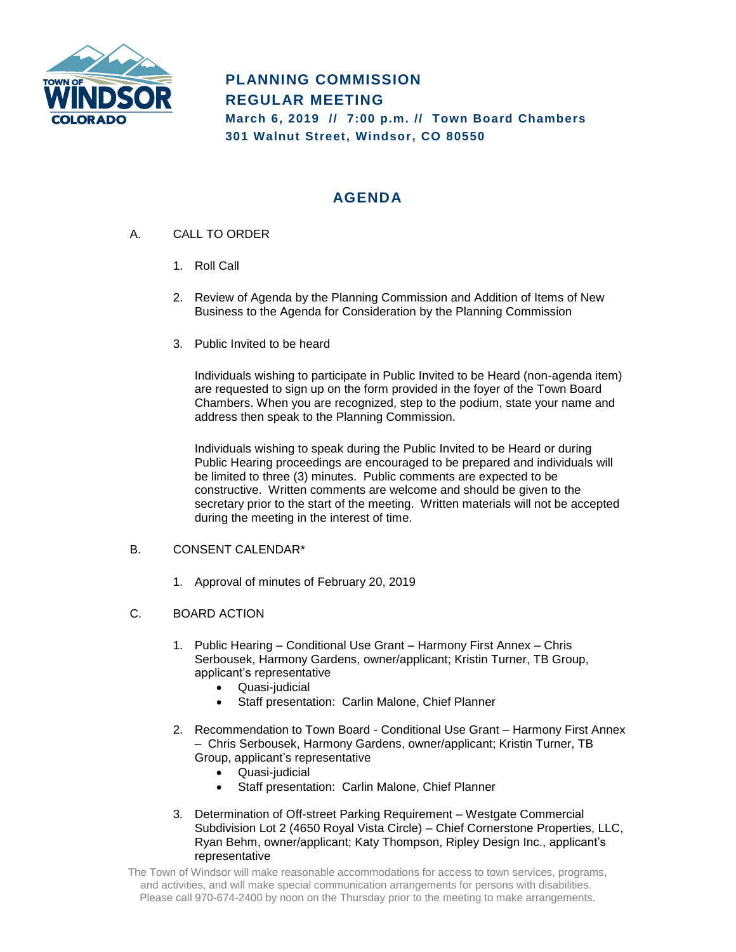

# **PLANNING COMMISSION REGULAR MEETING March 6, 2019 // 7:00 p.m. // Town Board Chambers 301 Walnut Street, Windsor, CO 80550**

## **AGENDA**

- A. CALL TO ORDER
	- 1. Roll Call
	- 2. Review of Agenda by the Planning Commission and Addition of Items of New Business to the Agenda for Consideration by the Planning Commission
	- 3. Public Invited to be heard

Individuals wishing to participate in Public Invited to be Heard (non-agenda item) are requested to sign up on the form provided in the foyer of the Town Board Chambers. When you are recognized, step to the podium, state your name and address then speak to the Planning Commission.

Individuals wishing to speak during the Public Invited to be Heard or during Public Hearing proceedings are encouraged to be prepared and individuals will be limited to three (3) minutes. Public comments are expected to be constructive. Written comments are welcome and should be given to the secretary prior to the start of the meeting. Written materials will not be accepted during the meeting in the interest of time.

### B. CONSENT CALENDAR\*

- 1. Approval of minutes of February 20, 2019
- C. BOARD ACTION
	- 1. Public Hearing Conditional Use Grant Harmony First Annex Chris Serbousek, Harmony Gardens, owner/applicant; Kristin Turner, TB Group, applicant's representative
		- Quasi-judicial
		- Staff presentation: Carlin Malone, Chief Planner
	- 2. Recommendation to Town Board Conditional Use Grant Harmony First Annex – Chris Serbousek, Harmony Gardens, owner/applicant; Kristin Turner, TB Group, applicant's representative
		- Quasi-judicial
		- Staff presentation: Carlin Malone, Chief Planner
	- 3. Determination of Off-street Parking Requirement Westgate Commercial Subdivision Lot 2 (4650 Royal Vista Circle) – Chief Cornerstone Properties, LLC, Ryan Behm, owner/applicant; Katy Thompson, Ripley Design Inc., applicant's representative

The Town of Windsor will make reasonable accommodations for access to town services, programs, and activities, and will make special communication arrangements for persons with disabilities. Please call 970-674-2400 by noon on the Thursday prior to the meeting to make arrangements.